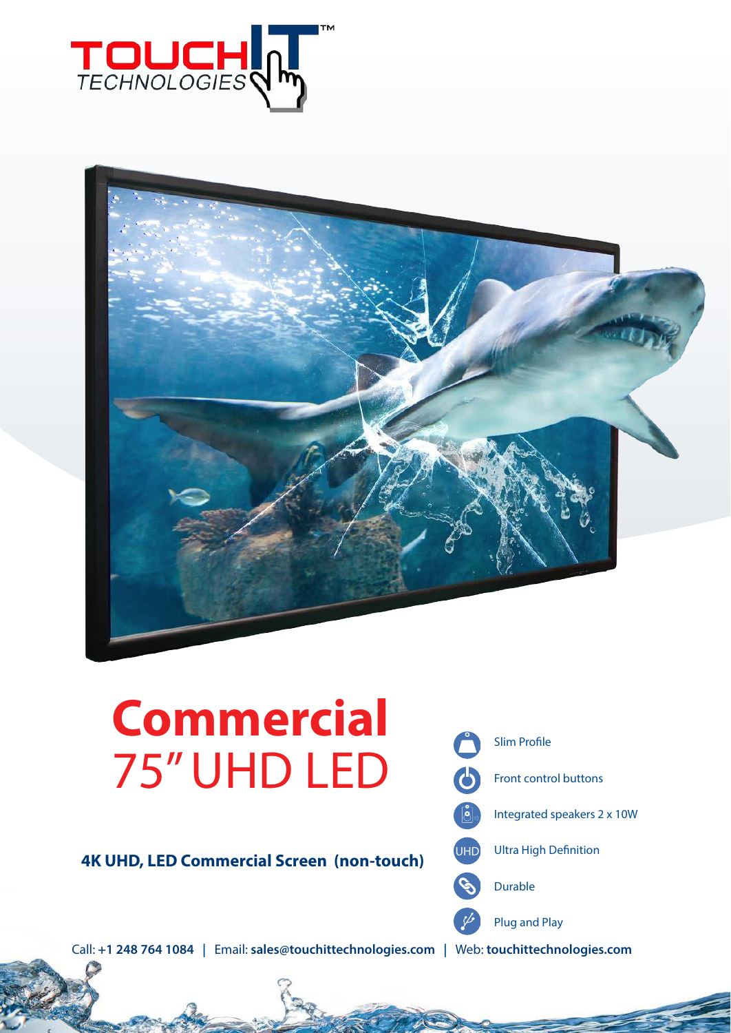



# **Commercial** 75" UHD LED

**4K UHD, LED Commercial Screen (non-touch)**



Call: **+1 248 764 1084 |** Email: **sales@touchittechnologies.com |** Web: **touchittechnologies.com**